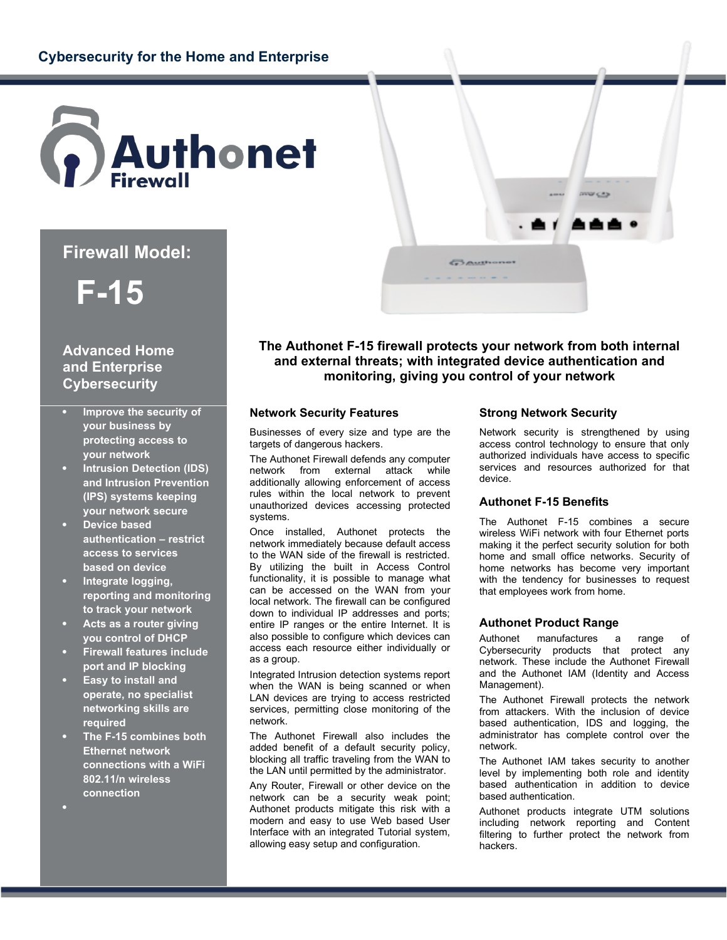

# **Firewall Model:**

# **F-15**

# **Advanced Home and Enterprise Cybersecurity**

- **Improve the security of your business by protecting access to your network**
- **Intrusion Detection (IDS) and Intrusion Prevention (IPS) systems keeping your network secure**
- **Device based authentication – restrict access to services based on device**
- **Integrate logging, reporting and monitoring to track your network**
- **Acts as a router giving you control of DHCP**
- **Firewall features include port and IP blocking**
- **Easy to install and operate, no specialist networking skills are required**
- **The F-15 combines both Ethernet network connections with a WiFi 802.11/n wireless connection**
- .

**The Authonet F-15 firewall protects your network from both internal and external threats; with integrated device authentication and monitoring, giving you control of your network**

**BAUBION** 

## **Network Security Features**

Businesses of every size and type are the targets of dangerous hackers.

The Authonet Firewall defends any computer network from external attack while additionally allowing enforcement of access rules within the local network to prevent unauthorized devices accessing protected systems.

Once installed, Authonet protects the network immediately because default access to the WAN side of the firewall is restricted. By utilizing the built in Access Control functionality, it is possible to manage what can be accessed on the WAN from your local network. The firewall can be configured down to individual IP addresses and ports; entire IP ranges or the entire Internet. It is also possible to configure which devices can access each resource either individually or as a group.

Integrated Intrusion detection systems report when the WAN is being scanned or when LAN devices are trying to access restricted services, permitting close monitoring of the network.

The Authonet Firewall also includes the added benefit of a default security policy, blocking all traffic traveling from the WAN to the LAN until permitted by the administrator.

Any Router, Firewall or other device on the network can be a security weak point; Authonet products mitigate this risk with a modern and easy to use Web based User Interface with an integrated Tutorial system, allowing easy setup and configuration.

### **Strong Network Security**

Network security is strengthened by using access control technology to ensure that only authorized individuals have access to specific services and resources authorized for that device.

▲▲▲●

## **Authonet F-15 Benefits**

The Authonet F-15 combines a secure wireless WiFi network with four Ethernet ports making it the perfect security solution for both home and small office networks. Security of home networks has become very important with the tendency for businesses to request that employees work from home.

## **Authonet Product Range**

Authonet manufactures a range of Cybersecurity products that protect any network. These include the Authonet Firewall and the Authonet IAM (Identity and Access Management).

The Authonet Firewall protects the network from attackers. With the inclusion of device based authentication, IDS and logging, the administrator has complete control over the network.

The Authonet IAM takes security to another level by implementing both role and identity based authentication in addition to device based authentication.

Authonet products integrate UTM solutions including network reporting and Content filtering to further protect the network from hackers.